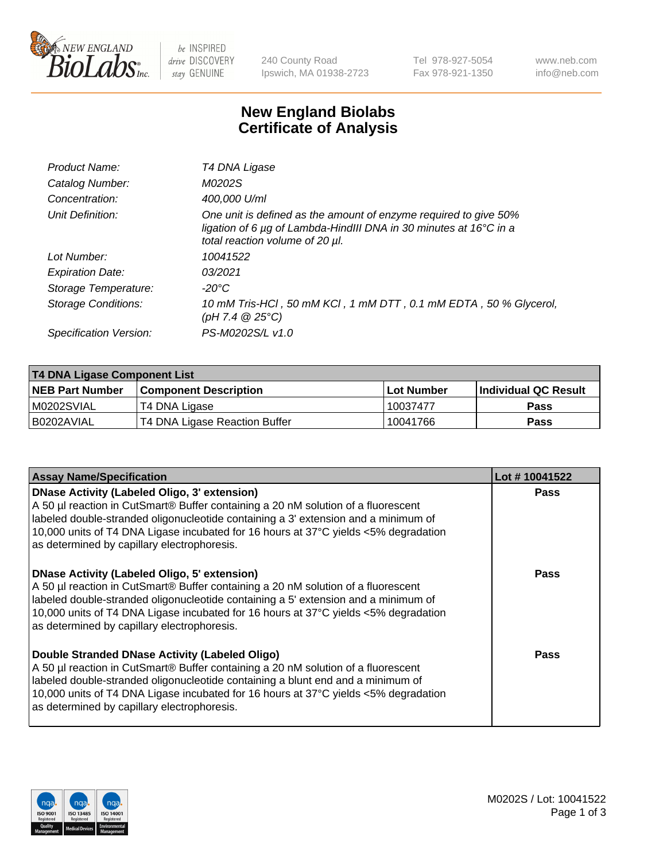

be INSPIRED drive DISCOVERY stay GENUINE

240 County Road Ipswich, MA 01938-2723 Tel 978-927-5054 Fax 978-921-1350 www.neb.com info@neb.com

## **New England Biolabs Certificate of Analysis**

| Product Name:              | T4 DNA Ligase                                                                                                                                                            |
|----------------------------|--------------------------------------------------------------------------------------------------------------------------------------------------------------------------|
| Catalog Number:            | M0202S                                                                                                                                                                   |
| Concentration:             | 400,000 U/ml                                                                                                                                                             |
| Unit Definition:           | One unit is defined as the amount of enzyme required to give 50%<br>ligation of 6 µg of Lambda-HindIII DNA in 30 minutes at 16°C in a<br>total reaction volume of 20 µl. |
| Lot Number:                | 10041522                                                                                                                                                                 |
| <b>Expiration Date:</b>    | 03/2021                                                                                                                                                                  |
| Storage Temperature:       | -20°C                                                                                                                                                                    |
| <b>Storage Conditions:</b> | 10 mM Tris-HCl, 50 mM KCl, 1 mM DTT, 0.1 mM EDTA, 50 % Glycerol,<br>(pH 7.4 $@25°C$ )                                                                                    |
| Specification Version:     | PS-M0202S/L v1.0                                                                                                                                                         |

| T4 DNA Ligase Component List |                               |                   |                      |  |
|------------------------------|-------------------------------|-------------------|----------------------|--|
| <b>NEB Part Number</b>       | <b>Component Description</b>  | <b>Lot Number</b> | Individual QC Result |  |
| IM0202SVIAL                  | T4 DNA Ligase                 | 10037477          | <b>Pass</b>          |  |
| I B0202AVIAL                 | T4 DNA Ligase Reaction Buffer | 10041766          | <b>Pass</b>          |  |

| <b>Assay Name/Specification</b>                                                                                                                                                                                                                                                                                                                                      | Lot #10041522 |
|----------------------------------------------------------------------------------------------------------------------------------------------------------------------------------------------------------------------------------------------------------------------------------------------------------------------------------------------------------------------|---------------|
| <b>DNase Activity (Labeled Oligo, 3' extension)</b><br>A 50 µl reaction in CutSmart® Buffer containing a 20 nM solution of a fluorescent<br>labeled double-stranded oligonucleotide containing a 3' extension and a minimum of<br>10,000 units of T4 DNA Ligase incubated for 16 hours at 37°C yields <5% degradation<br>as determined by capillary electrophoresis. | <b>Pass</b>   |
| DNase Activity (Labeled Oligo, 5' extension)<br>A 50 µl reaction in CutSmart® Buffer containing a 20 nM solution of a fluorescent<br>labeled double-stranded oligonucleotide containing a 5' extension and a minimum of<br>10,000 units of T4 DNA Ligase incubated for 16 hours at 37°C yields <5% degradation<br>as determined by capillary electrophoresis.        | <b>Pass</b>   |
| Double Stranded DNase Activity (Labeled Oligo)<br>A 50 µl reaction in CutSmart® Buffer containing a 20 nM solution of a fluorescent<br>labeled double-stranded oligonucleotide containing a blunt end and a minimum of<br>10,000 units of T4 DNA Ligase incubated for 16 hours at 37°C yields <5% degradation<br>as determined by capillary electrophoresis.         | Pass          |

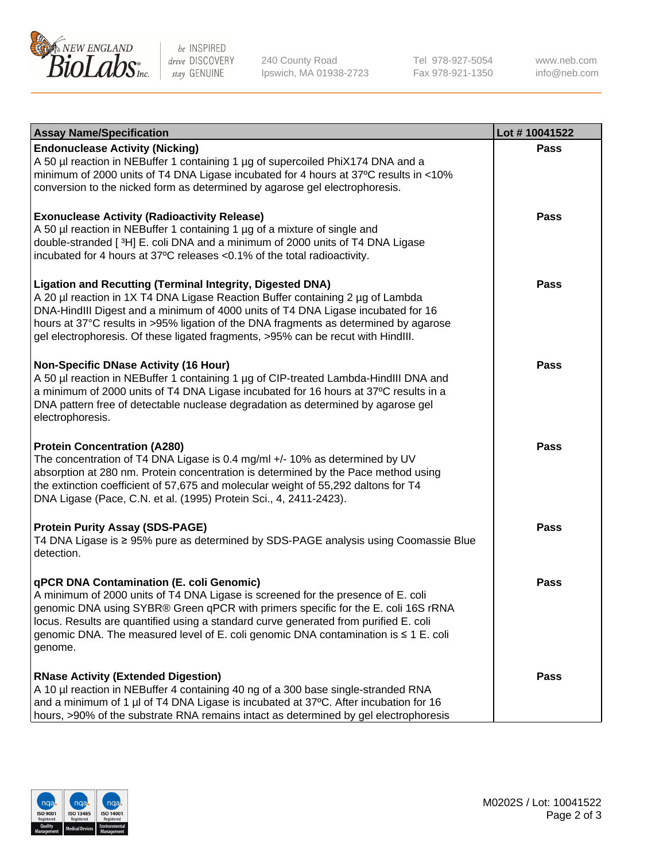

be INSPIRED drive DISCOVERY stay GENUINE

240 County Road Ipswich, MA 01938-2723 Tel 978-927-5054 Fax 978-921-1350

www.neb.com info@neb.com

| <b>Assay Name/Specification</b>                                                                                                                                                                                                                                                                                                                                                                             | Lot #10041522 |
|-------------------------------------------------------------------------------------------------------------------------------------------------------------------------------------------------------------------------------------------------------------------------------------------------------------------------------------------------------------------------------------------------------------|---------------|
| <b>Endonuclease Activity (Nicking)</b><br>A 50 µl reaction in NEBuffer 1 containing 1 µg of supercoiled PhiX174 DNA and a<br>minimum of 2000 units of T4 DNA Ligase incubated for 4 hours at 37°C results in <10%<br>conversion to the nicked form as determined by agarose gel electrophoresis.                                                                                                            | <b>Pass</b>   |
| <b>Exonuclease Activity (Radioactivity Release)</b><br>A 50 µl reaction in NEBuffer 1 containing 1 µg of a mixture of single and<br>double-stranded [3H] E. coli DNA and a minimum of 2000 units of T4 DNA Ligase<br>incubated for 4 hours at 37°C releases <0.1% of the total radioactivity.                                                                                                               | Pass          |
| Ligation and Recutting (Terminal Integrity, Digested DNA)<br>A 20 µl reaction in 1X T4 DNA Ligase Reaction Buffer containing 2 µg of Lambda<br>DNA-HindIII Digest and a minimum of 4000 units of T4 DNA Ligase incubated for 16<br>hours at 37°C results in >95% ligation of the DNA fragments as determined by agarose<br>gel electrophoresis. Of these ligated fragments, >95% can be recut with HindIII. | Pass          |
| <b>Non-Specific DNase Activity (16 Hour)</b><br>A 50 µl reaction in NEBuffer 1 containing 1 µg of CIP-treated Lambda-HindIII DNA and<br>a minimum of 2000 units of T4 DNA Ligase incubated for 16 hours at 37°C results in a<br>DNA pattern free of detectable nuclease degradation as determined by agarose gel<br>electrophoresis.                                                                        | Pass          |
| <b>Protein Concentration (A280)</b><br>The concentration of T4 DNA Ligase is 0.4 mg/ml +/- 10% as determined by UV<br>absorption at 280 nm. Protein concentration is determined by the Pace method using<br>the extinction coefficient of 57,675 and molecular weight of 55,292 daltons for T4<br>DNA Ligase (Pace, C.N. et al. (1995) Protein Sci., 4, 2411-2423).                                         | Pass          |
| <b>Protein Purity Assay (SDS-PAGE)</b><br>T4 DNA Ligase is ≥ 95% pure as determined by SDS-PAGE analysis using Coomassie Blue<br>detection.                                                                                                                                                                                                                                                                 | Pass          |
| qPCR DNA Contamination (E. coli Genomic)<br>A minimum of 2000 units of T4 DNA Ligase is screened for the presence of E. coli<br>genomic DNA using SYBR® Green qPCR with primers specific for the E. coli 16S rRNA<br>locus. Results are quantified using a standard curve generated from purified E. coli<br>genomic DNA. The measured level of E. coli genomic DNA contamination is ≤ 1 E. coli<br>genome. | Pass          |
| <b>RNase Activity (Extended Digestion)</b><br>A 10 µl reaction in NEBuffer 4 containing 40 ng of a 300 base single-stranded RNA<br>and a minimum of 1 µl of T4 DNA Ligase is incubated at 37°C. After incubation for 16<br>hours, >90% of the substrate RNA remains intact as determined by gel electrophoresis                                                                                             | Pass          |